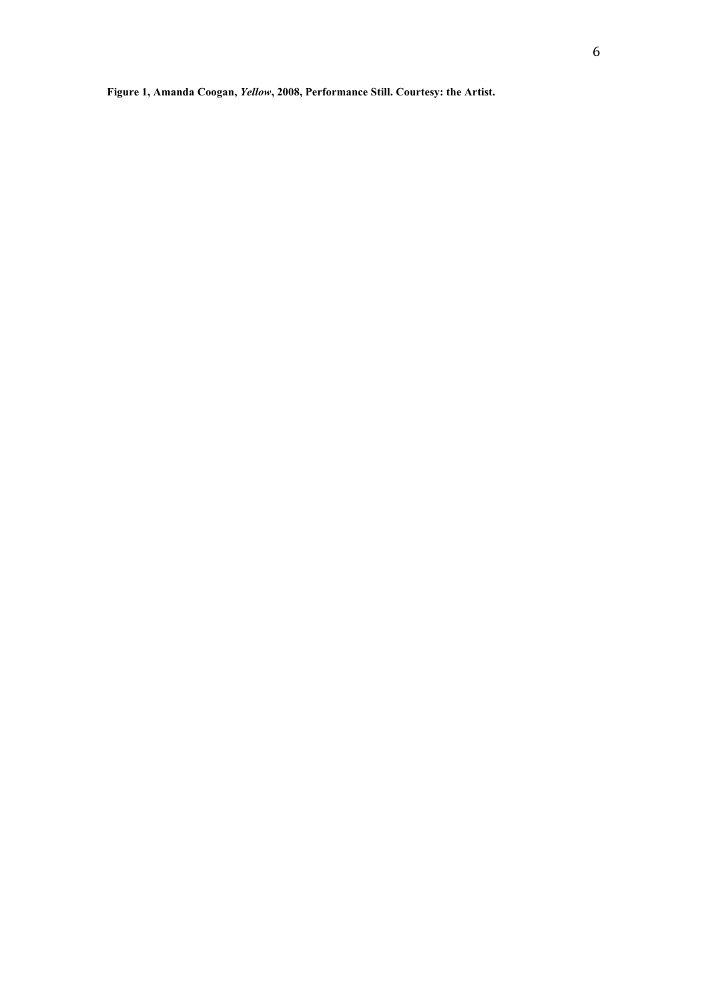**Figure 1, Amanda Coogan,** *Yellow***, 2008, Performance Still. Courtesy: the Artist.**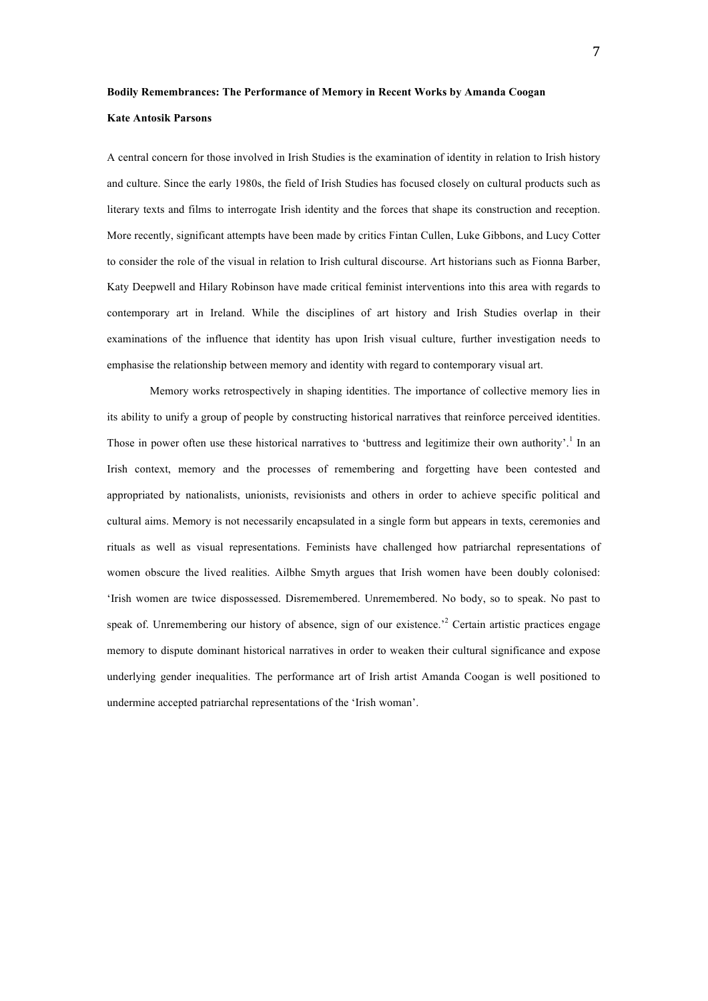# **Bodily Remembrances: The Performance of Memory in Recent Works by Amanda Coogan**

# **Kate Antosik Parsons**

A central concern for those involved in Irish Studies is the examination of identity in relation to Irish history and culture. Since the early 1980s, the field of Irish Studies has focused closely on cultural products such as literary texts and films to interrogate Irish identity and the forces that shape its construction and reception. More recently, significant attempts have been made by critics Fintan Cullen, Luke Gibbons, and Lucy Cotter to consider the role of the visual in relation to Irish cultural discourse. Art historians such as Fionna Barber, Katy Deepwell and Hilary Robinson have made critical feminist interventions into this area with regards to contemporary art in Ireland. While the disciplines of art history and Irish Studies overlap in their examinations of the influence that identity has upon Irish visual culture, further investigation needs to emphasise the relationship between memory and identity with regard to contemporary visual art.

Memory works retrospectively in shaping identities. The importance of collective memory lies in its ability to unify a group of people by constructing historical narratives that reinforce perceived identities. Those in power often use these historical narratives to 'buttress and legitimize their own authority'.<sup>1</sup> In an Irish context, memory and the processes of remembering and forgetting have been contested and appropriated by nationalists, unionists, revisionists and others in order to achieve specific political and cultural aims. Memory is not necessarily encapsulated in a single form but appears in texts, ceremonies and rituals as well as visual representations. Feminists have challenged how patriarchal representations of women obscure the lived realities. Ailbhe Smyth argues that Irish women have been doubly colonised: 'Irish women are twice dispossessed. Disremembered. Unremembered. No body, so to speak. No past to speak of. Unremembering our history of absence, sign of our existence.<sup>22</sup> Certain artistic practices engage memory to dispute dominant historical narratives in order to weaken their cultural significance and expose underlying gender inequalities. The performance art of Irish artist Amanda Coogan is well positioned to undermine accepted patriarchal representations of the 'Irish woman'.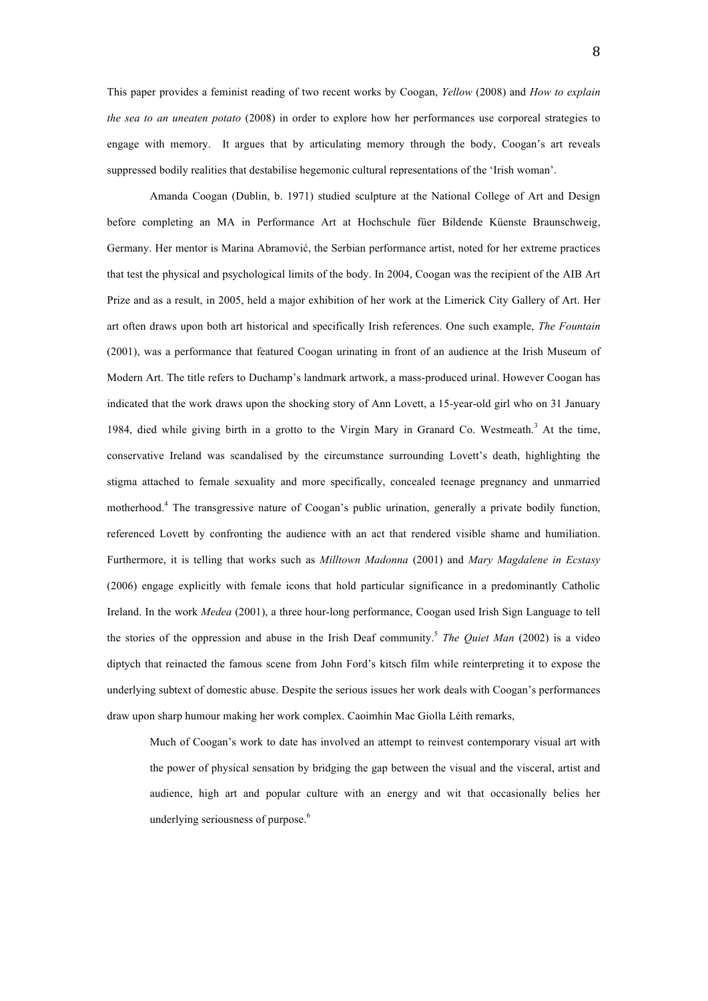8

This paper provides a feminist reading of two recent works by Coogan, *Yellow* (2008) and *How to explain the sea to an uneaten potato* (2008) in order to explore how her performances use corporeal strategies to engage with memory. It argues that by articulating memory through the body, Coogan's art reveals suppressed bodily realities that destabilise hegemonic cultural representations of the 'Irish woman'.

Amanda Coogan (Dublin, b. 1971) studied sculpture at the National College of Art and Design before completing an MA in Performance Art at Hochschule füer Bildende Küenste Braunschweig, Germany. Her mentor is Marina Abramović, the Serbian performance artist, noted for her extreme practices that test the physical and psychological limits of the body. In 2004, Coogan was the recipient of the AIB Art Prize and as a result, in 2005, held a major exhibition of her work at the Limerick City Gallery of Art. Her art often draws upon both art historical and specifically Irish references. One such example, *The Fountain* (2001), was a performance that featured Coogan urinating in front of an audience at the Irish Museum of Modern Art. The title refers to Duchamp's landmark artwork, a mass-produced urinal. However Coogan has indicated that the work draws upon the shocking story of Ann Lovett, a 15-year-old girl who on 31 January 1984, died while giving birth in a grotto to the Virgin Mary in Granard Co. Westmeath.<sup>3</sup> At the time, conservative Ireland was scandalised by the circumstance surrounding Lovett's death, highlighting the stigma attached to female sexuality and more specifically, concealed teenage pregnancy and unmarried motherhood.<sup>4</sup> The transgressive nature of Coogan's public urination, generally a private bodily function, referenced Lovett by confronting the audience with an act that rendered visible shame and humiliation. Furthermore, it is telling that works such as *Milltown Madonna* (2001) and *Mary Magdalene in Ecstasy*  (2006) engage explicitly with female icons that hold particular significance in a predominantly Catholic Ireland. In the work *Medea* (2001), a three hour-long performance, Coogan used Irish Sign Language to tell the stories of the oppression and abuse in the Irish Deaf community.<sup>5</sup> *The Quiet Man* (2002) is a video diptych that reinacted the famous scene from John Ford's kitsch film while reinterpreting it to expose the underlying subtext of domestic abuse. Despite the serious issues her work deals with Coogan's performances draw upon sharp humour making her work complex. Caoimhín Mac Giolla Léith remarks,

Much of Coogan's work to date has involved an attempt to reinvest contemporary visual art with the power of physical sensation by bridging the gap between the visual and the visceral, artist and audience, high art and popular culture with an energy and wit that occasionally belies her underlying seriousness of purpose.<sup>6</sup>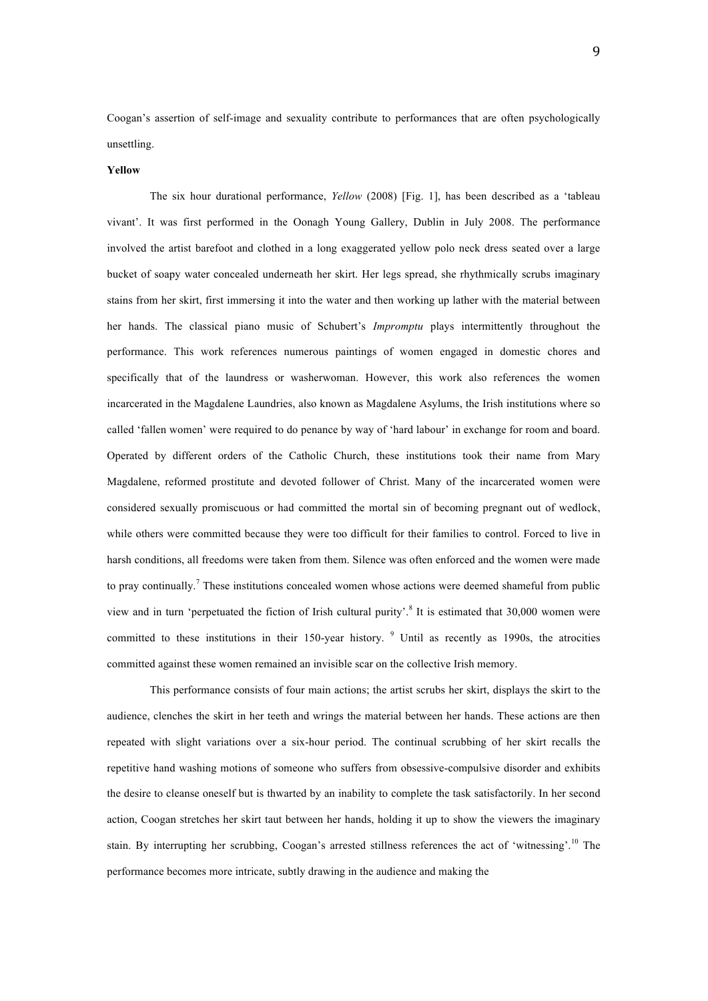Coogan's assertion of self-image and sexuality contribute to performances that are often psychologically unsettling.

## **Yellow**

The six hour durational performance, *Yellow* (2008) [Fig. 1], has been described as a 'tableau vivant'. It was first performed in the Oonagh Young Gallery, Dublin in July 2008. The performance involved the artist barefoot and clothed in a long exaggerated yellow polo neck dress seated over a large bucket of soapy water concealed underneath her skirt. Her legs spread, she rhythmically scrubs imaginary stains from her skirt, first immersing it into the water and then working up lather with the material between her hands. The classical piano music of Schubert's *Impromptu* plays intermittently throughout the performance. This work references numerous paintings of women engaged in domestic chores and specifically that of the laundress or washerwoman. However, this work also references the women incarcerated in the Magdalene Laundries, also known as Magdalene Asylums, the Irish institutions where so called 'fallen women' were required to do penance by way of 'hard labour' in exchange for room and board. Operated by different orders of the Catholic Church, these institutions took their name from Mary Magdalene, reformed prostitute and devoted follower of Christ. Many of the incarcerated women were considered sexually promiscuous or had committed the mortal sin of becoming pregnant out of wedlock, while others were committed because they were too difficult for their families to control. Forced to live in harsh conditions, all freedoms were taken from them. Silence was often enforced and the women were made to pray continually.<sup>7</sup> These institutions concealed women whose actions were deemed shameful from public view and in turn 'perpetuated the fiction of Irish cultural purity'.<sup>8</sup> It is estimated that 30,000 women were committed to these institutions in their 150-year history. <sup>9</sup> Until as recently as 1990s, the atrocities committed against these women remained an invisible scar on the collective Irish memory.

This performance consists of four main actions; the artist scrubs her skirt, displays the skirt to the audience, clenches the skirt in her teeth and wrings the material between her hands. These actions are then repeated with slight variations over a six-hour period. The continual scrubbing of her skirt recalls the repetitive hand washing motions of someone who suffers from obsessive-compulsive disorder and exhibits the desire to cleanse oneself but is thwarted by an inability to complete the task satisfactorily. In her second action, Coogan stretches her skirt taut between her hands, holding it up to show the viewers the imaginary stain. By interrupting her scrubbing, Coogan's arrested stillness references the act of 'witnessing'.<sup>10</sup> The performance becomes more intricate, subtly drawing in the audience and making the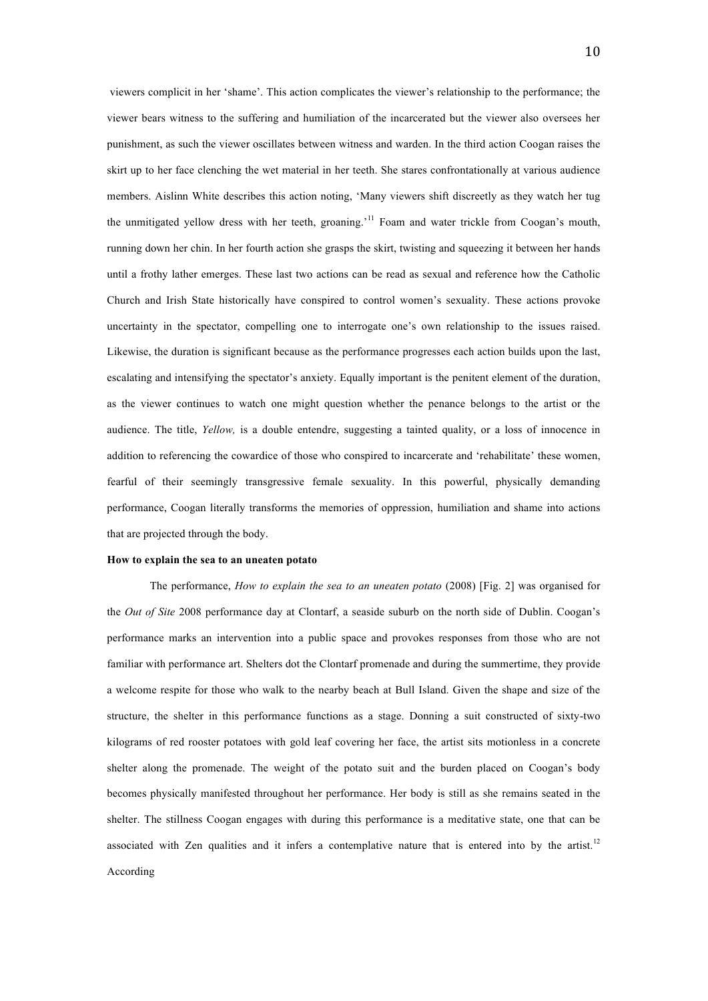viewers complicit in her 'shame'. This action complicates the viewer's relationship to the performance; the viewer bears witness to the suffering and humiliation of the incarcerated but the viewer also oversees her punishment, as such the viewer oscillates between witness and warden. In the third action Coogan raises the skirt up to her face clenching the wet material in her teeth. She stares confrontationally at various audience members. Aislinn White describes this action noting, 'Many viewers shift discreetly as they watch her tug the unmitigated yellow dress with her teeth, groaning.'11 Foam and water trickle from Coogan's mouth, running down her chin. In her fourth action she grasps the skirt, twisting and squeezing it between her hands until a frothy lather emerges. These last two actions can be read as sexual and reference how the Catholic Church and Irish State historically have conspired to control women's sexuality. These actions provoke uncertainty in the spectator, compelling one to interrogate one's own relationship to the issues raised. Likewise, the duration is significant because as the performance progresses each action builds upon the last, escalating and intensifying the spectator's anxiety. Equally important is the penitent element of the duration, as the viewer continues to watch one might question whether the penance belongs to the artist or the audience. The title, *Yellow,* is a double entendre, suggesting a tainted quality, or a loss of innocence in addition to referencing the cowardice of those who conspired to incarcerate and 'rehabilitate' these women, fearful of their seemingly transgressive female sexuality. In this powerful, physically demanding performance, Coogan literally transforms the memories of oppression, humiliation and shame into actions that are projected through the body.

### **How to explain the sea to an uneaten potato**

The performance, *How to explain the sea to an uneaten potato* (2008) [Fig. 2] was organised for the *Out of Site* 2008 performance day at Clontarf, a seaside suburb on the north side of Dublin. Coogan's performance marks an intervention into a public space and provokes responses from those who are not familiar with performance art. Shelters dot the Clontarf promenade and during the summertime, they provide a welcome respite for those who walk to the nearby beach at Bull Island. Given the shape and size of the structure, the shelter in this performance functions as a stage. Donning a suit constructed of sixty-two kilograms of red rooster potatoes with gold leaf covering her face, the artist sits motionless in a concrete shelter along the promenade. The weight of the potato suit and the burden placed on Coogan's body becomes physically manifested throughout her performance. Her body is still as she remains seated in the shelter. The stillness Coogan engages with during this performance is a meditative state, one that can be associated with Zen qualities and it infers a contemplative nature that is entered into by the artist.<sup>12</sup> According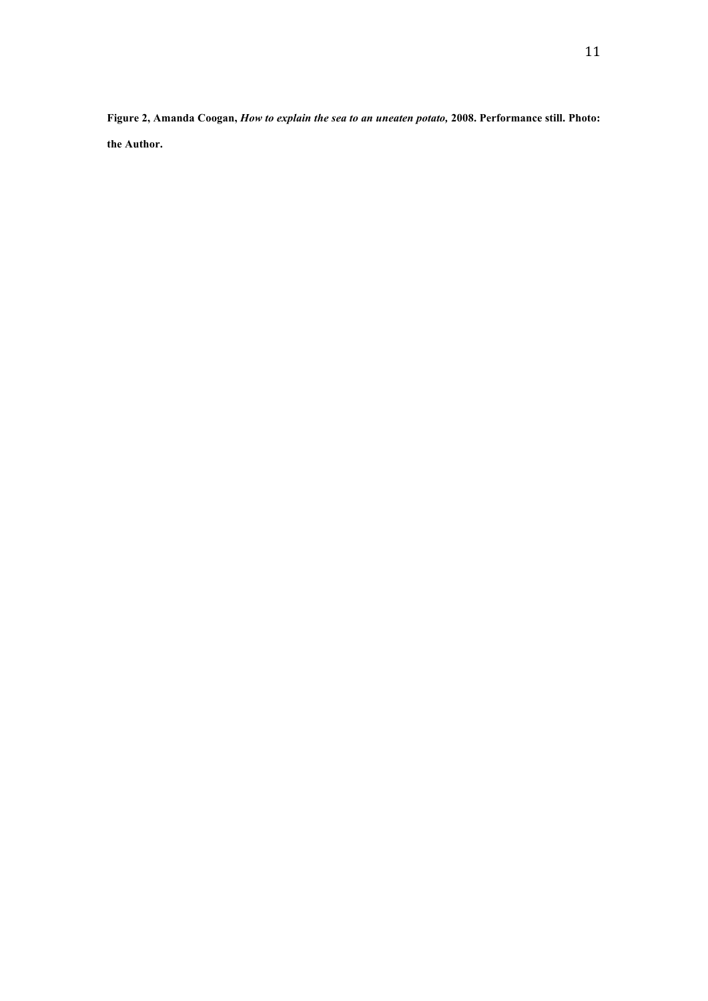**Figure 2, Amanda Coogan,** *How to explain the sea to an uneaten potato,* **2008. Performance still. Photo: the Author.**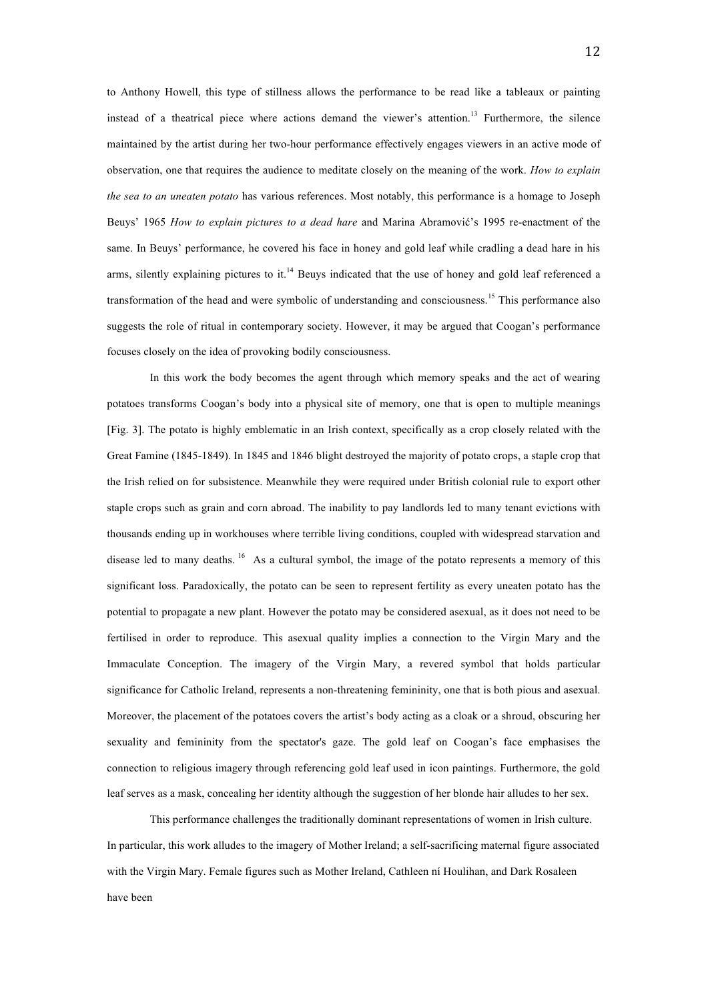to Anthony Howell, this type of stillness allows the performance to be read like a tableaux or painting instead of a theatrical piece where actions demand the viewer's attention.<sup>13</sup> Furthermore, the silence maintained by the artist during her two-hour performance effectively engages viewers in an active mode of observation, one that requires the audience to meditate closely on the meaning of the work. *How to explain the sea to an uneaten potato* has various references. Most notably, this performance is a homage to Joseph Beuys' 1965 *How to explain pictures to a dead hare* and Marina Abramović's 1995 re-enactment of the same. In Beuys' performance, he covered his face in honey and gold leaf while cradling a dead hare in his arms, silently explaining pictures to it.<sup>14</sup> Beuys indicated that the use of honey and gold leaf referenced a transformation of the head and were symbolic of understanding and consciousness.<sup>15</sup> This performance also suggests the role of ritual in contemporary society. However, it may be argued that Coogan's performance focuses closely on the idea of provoking bodily consciousness.

In this work the body becomes the agent through which memory speaks and the act of wearing potatoes transforms Coogan's body into a physical site of memory, one that is open to multiple meanings [Fig. 3]. The potato is highly emblematic in an Irish context, specifically as a crop closely related with the Great Famine (1845-1849). In 1845 and 1846 blight destroyed the majority of potato crops, a staple crop that the Irish relied on for subsistence. Meanwhile they were required under British colonial rule to export other staple crops such as grain and corn abroad. The inability to pay landlords led to many tenant evictions with thousands ending up in workhouses where terrible living conditions, coupled with widespread starvation and disease led to many deaths. <sup>16</sup> As a cultural symbol, the image of the potato represents a memory of this significant loss. Paradoxically, the potato can be seen to represent fertility as every uneaten potato has the potential to propagate a new plant. However the potato may be considered asexual, as it does not need to be fertilised in order to reproduce. This asexual quality implies a connection to the Virgin Mary and the Immaculate Conception. The imagery of the Virgin Mary, a revered symbol that holds particular significance for Catholic Ireland, represents a non-threatening femininity, one that is both pious and asexual. Moreover, the placement of the potatoes covers the artist's body acting as a cloak or a shroud, obscuring her sexuality and femininity from the spectator's gaze. The gold leaf on Coogan's face emphasises the connection to religious imagery through referencing gold leaf used in icon paintings. Furthermore, the gold leaf serves as a mask, concealing her identity although the suggestion of her blonde hair alludes to her sex.

This performance challenges the traditionally dominant representations of women in Irish culture. In particular, this work alludes to the imagery of Mother Ireland; a self-sacrificing maternal figure associated with the Virgin Mary. Female figures such as Mother Ireland, Cathleen ní Houlihan, and Dark Rosaleen have been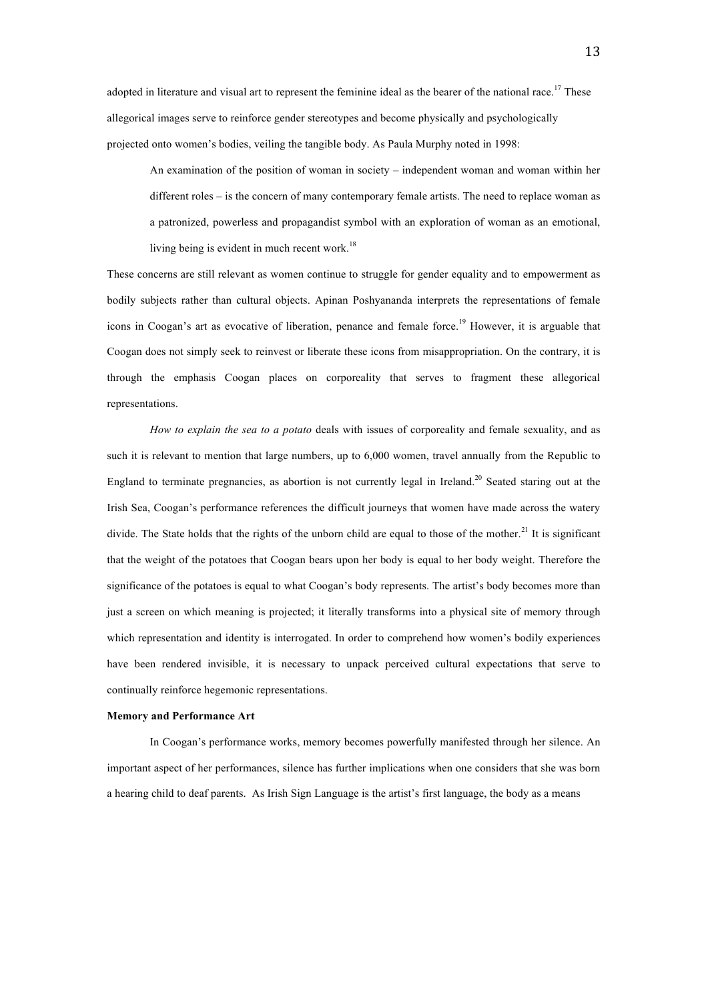adopted in literature and visual art to represent the feminine ideal as the bearer of the national race.<sup>17</sup> These allegorical images serve to reinforce gender stereotypes and become physically and psychologically projected onto women's bodies, veiling the tangible body. As Paula Murphy noted in 1998:

An examination of the position of woman in society – independent woman and woman within her different roles – is the concern of many contemporary female artists. The need to replace woman as a patronized, powerless and propagandist symbol with an exploration of woman as an emotional, living being is evident in much recent work.<sup>18</sup>

These concerns are still relevant as women continue to struggle for gender equality and to empowerment as bodily subjects rather than cultural objects. Apinan Poshyananda interprets the representations of female icons in Coogan's art as evocative of liberation, penance and female force. 19 However, it is arguable that Coogan does not simply seek to reinvest or liberate these icons from misappropriation. On the contrary, it is through the emphasis Coogan places on corporeality that serves to fragment these allegorical representations.

*How to explain the sea to a potato* deals with issues of corporeality and female sexuality, and as such it is relevant to mention that large numbers, up to 6,000 women, travel annually from the Republic to England to terminate pregnancies, as abortion is not currently legal in Ireland.<sup>20</sup> Seated staring out at the Irish Sea, Coogan's performance references the difficult journeys that women have made across the watery divide. The State holds that the rights of the unborn child are equal to those of the mother.<sup>21</sup> It is significant that the weight of the potatoes that Coogan bears upon her body is equal to her body weight. Therefore the significance of the potatoes is equal to what Coogan's body represents. The artist's body becomes more than just a screen on which meaning is projected; it literally transforms into a physical site of memory through which representation and identity is interrogated. In order to comprehend how women's bodily experiences have been rendered invisible, it is necessary to unpack perceived cultural expectations that serve to continually reinforce hegemonic representations.

## **Memory and Performance Art**

In Coogan's performance works, memory becomes powerfully manifested through her silence. An important aspect of her performances, silence has further implications when one considers that she was born a hearing child to deaf parents. As Irish Sign Language is the artist's first language, the body as a means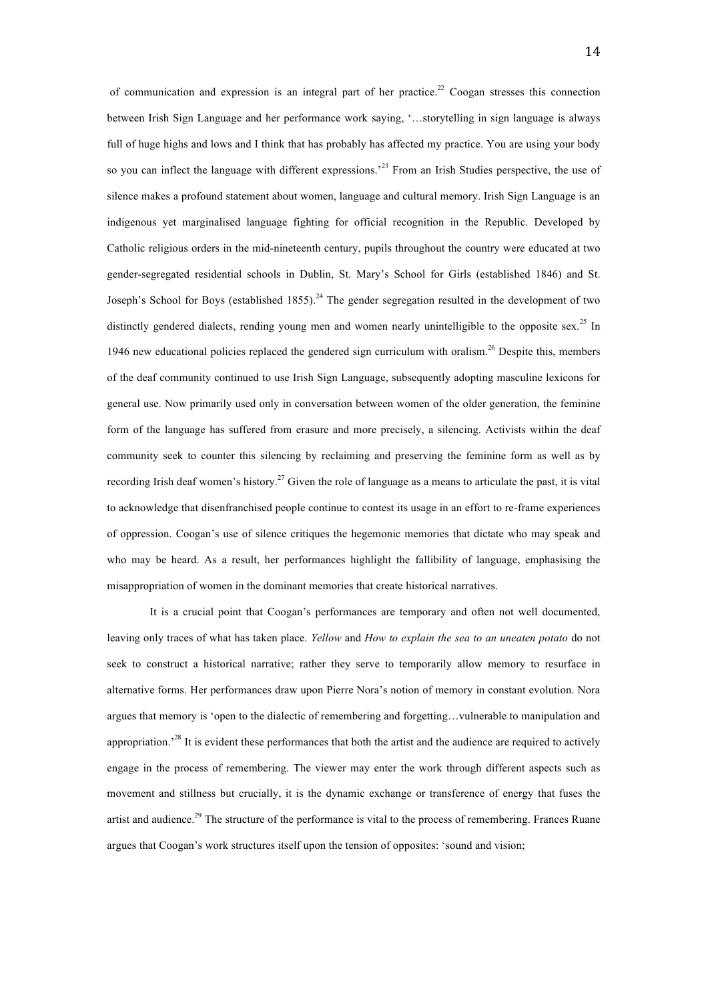of communication and expression is an integral part of her practice.<sup>22</sup> Coogan stresses this connection between Irish Sign Language and her performance work saying, '…storytelling in sign language is always full of huge highs and lows and I think that has probably has affected my practice. You are using your body so you can inflect the language with different expressions.<sup>23</sup> From an Irish Studies perspective, the use of silence makes a profound statement about women, language and cultural memory. Irish Sign Language is an indigenous yet marginalised language fighting for official recognition in the Republic. Developed by Catholic religious orders in the mid-nineteenth century, pupils throughout the country were educated at two gender-segregated residential schools in Dublin, St. Mary's School for Girls (established 1846) and St. Joseph's School for Boys (established  $1855$ ).<sup>24</sup> The gender segregation resulted in the development of two distinctly gendered dialects, rending young men and women nearly unintelligible to the opposite sex.<sup>25</sup> In 1946 new educational policies replaced the gendered sign curriculum with oralism.<sup>26</sup> Despite this, members of the deaf community continued to use Irish Sign Language, subsequently adopting masculine lexicons for general use. Now primarily used only in conversation between women of the older generation, the feminine form of the language has suffered from erasure and more precisely, a silencing. Activists within the deaf community seek to counter this silencing by reclaiming and preserving the feminine form as well as by recording Irish deaf women's history.<sup>27</sup> Given the role of language as a means to articulate the past, it is vital to acknowledge that disenfranchised people continue to contest its usage in an effort to re-frame experiences of oppression. Coogan's use of silence critiques the hegemonic memories that dictate who may speak and who may be heard. As a result, her performances highlight the fallibility of language, emphasising the misappropriation of women in the dominant memories that create historical narratives.

It is a crucial point that Coogan's performances are temporary and often not well documented, leaving only traces of what has taken place. *Yellow* and *How to explain the sea to an uneaten potato* do not seek to construct a historical narrative; rather they serve to temporarily allow memory to resurface in alternative forms. Her performances draw upon Pierre Nora's notion of memory in constant evolution. Nora argues that memory is 'open to the dialectic of remembering and forgetting…vulnerable to manipulation and appropriation.<sup>28</sup> It is evident these performances that both the artist and the audience are required to actively engage in the process of remembering. The viewer may enter the work through different aspects such as movement and stillness but crucially, it is the dynamic exchange or transference of energy that fuses the artist and audience.<sup>29</sup> The structure of the performance is vital to the process of remembering. Frances Ruane argues that Coogan's work structures itself upon the tension of opposites: 'sound and vision;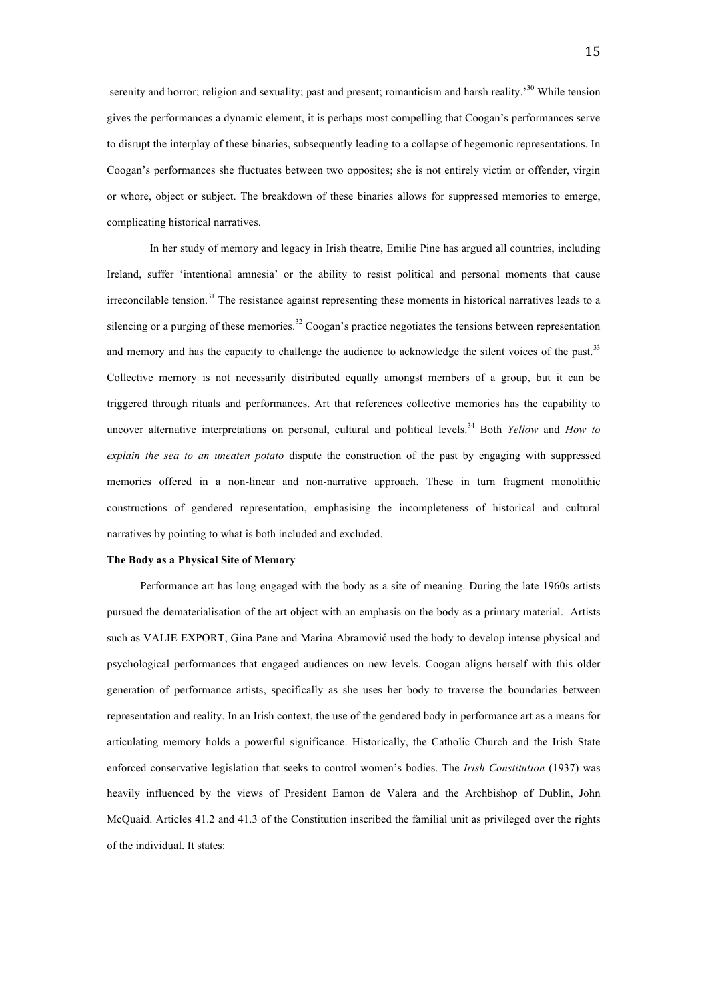serenity and horror; religion and sexuality; past and present; romanticism and harsh reality.<sup>30</sup> While tension gives the performances a dynamic element, it is perhaps most compelling that Coogan's performances serve to disrupt the interplay of these binaries, subsequently leading to a collapse of hegemonic representations. In Coogan's performances she fluctuates between two opposites; she is not entirely victim or offender, virgin or whore, object or subject. The breakdown of these binaries allows for suppressed memories to emerge, complicating historical narratives.

In her study of memory and legacy in Irish theatre, Emilie Pine has argued all countries, including Ireland, suffer 'intentional amnesia' or the ability to resist political and personal moments that cause irreconcilable tension.<sup>31</sup> The resistance against representing these moments in historical narratives leads to a silencing or a purging of these memories.<sup>32</sup> Coogan's practice negotiates the tensions between representation and memory and has the capacity to challenge the audience to acknowledge the silent voices of the past.<sup>33</sup> Collective memory is not necessarily distributed equally amongst members of a group, but it can be triggered through rituals and performances. Art that references collective memories has the capability to uncover alternative interpretations on personal, cultural and political levels.<sup>34</sup> Both *Yellow* and *How to explain the sea to an uneaten potato* dispute the construction of the past by engaging with suppressed memories offered in a non-linear and non-narrative approach. These in turn fragment monolithic constructions of gendered representation, emphasising the incompleteness of historical and cultural narratives by pointing to what is both included and excluded.

### **The Body as a Physical Site of Memory**

Performance art has long engaged with the body as a site of meaning. During the late 1960s artists pursued the dematerialisation of the art object with an emphasis on the body as a primary material. Artists such as VALIE EXPORT, Gina Pane and Marina Abramović used the body to develop intense physical and psychological performances that engaged audiences on new levels. Coogan aligns herself with this older generation of performance artists, specifically as she uses her body to traverse the boundaries between representation and reality. In an Irish context, the use of the gendered body in performance art as a means for articulating memory holds a powerful significance. Historically, the Catholic Church and the Irish State enforced conservative legislation that seeks to control women's bodies. The *Irish Constitution* (1937) was heavily influenced by the views of President Eamon de Valera and the Archbishop of Dublin, John McQuaid. Articles 41.2 and 41.3 of the Constitution inscribed the familial unit as privileged over the rights of the individual. It states: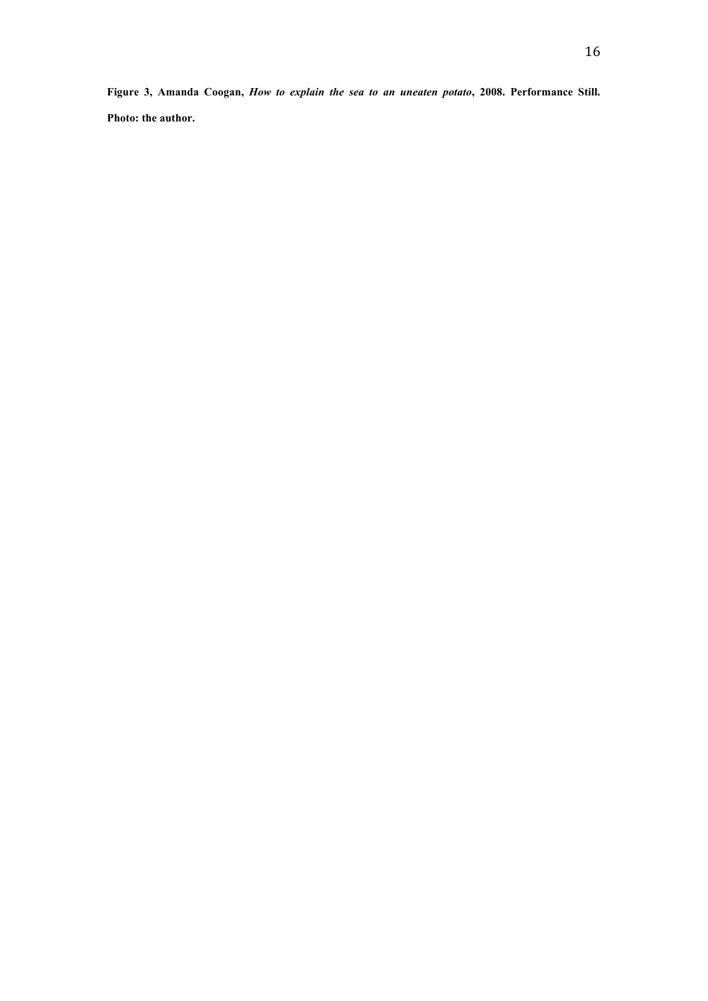**Figure 3, Amanda Coogan,** *How to explain the sea to an uneaten potato***, 2008. Performance Still. Photo: the author.**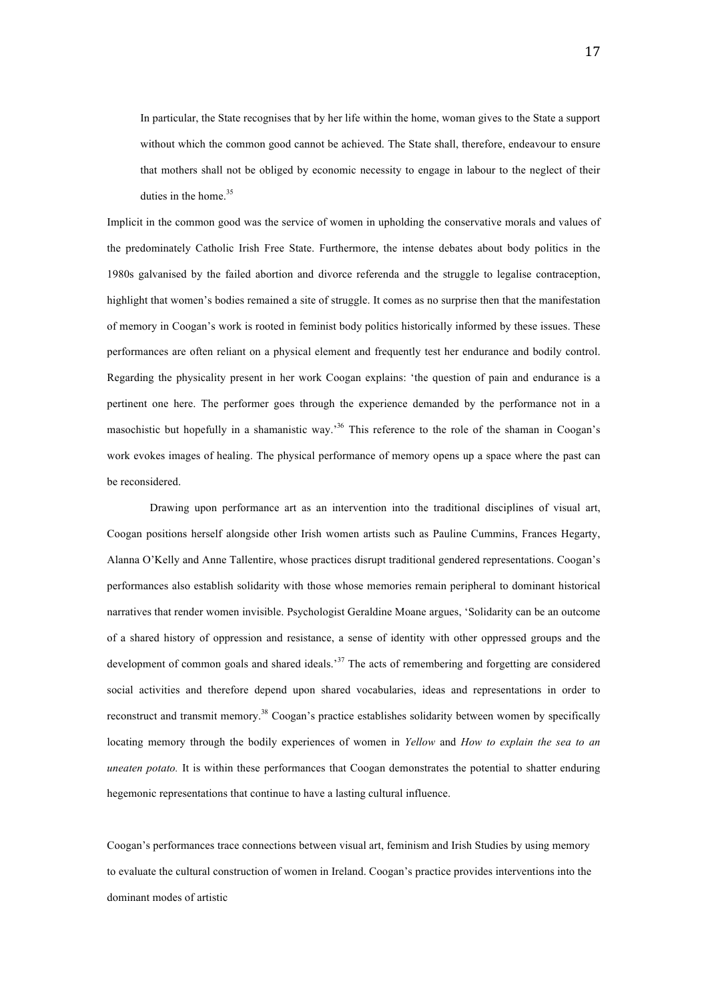In particular, the State recognises that by her life within the home, woman gives to the State a support without which the common good cannot be achieved. The State shall, therefore, endeavour to ensure that mothers shall not be obliged by economic necessity to engage in labour to the neglect of their duties in the home.<sup>35</sup>

Implicit in the common good was the service of women in upholding the conservative morals and values of the predominately Catholic Irish Free State. Furthermore, the intense debates about body politics in the 1980s galvanised by the failed abortion and divorce referenda and the struggle to legalise contraception, highlight that women's bodies remained a site of struggle. It comes as no surprise then that the manifestation of memory in Coogan's work is rooted in feminist body politics historically informed by these issues. These performances are often reliant on a physical element and frequently test her endurance and bodily control. Regarding the physicality present in her work Coogan explains: 'the question of pain and endurance is a pertinent one here. The performer goes through the experience demanded by the performance not in a masochistic but hopefully in a shamanistic way.'36 This reference to the role of the shaman in Coogan's work evokes images of healing. The physical performance of memory opens up a space where the past can be reconsidered.

Drawing upon performance art as an intervention into the traditional disciplines of visual art, Coogan positions herself alongside other Irish women artists such as Pauline Cummins, Frances Hegarty, Alanna O'Kelly and Anne Tallentire, whose practices disrupt traditional gendered representations. Coogan's performances also establish solidarity with those whose memories remain peripheral to dominant historical narratives that render women invisible. Psychologist Geraldine Moane argues, 'Solidarity can be an outcome of a shared history of oppression and resistance, a sense of identity with other oppressed groups and the development of common goals and shared ideals.'37 The acts of remembering and forgetting are considered social activities and therefore depend upon shared vocabularies, ideas and representations in order to reconstruct and transmit memory.<sup>38</sup> Coogan's practice establishes solidarity between women by specifically locating memory through the bodily experiences of women in *Yellow* and *How to explain the sea to an uneaten potato.* It is within these performances that Coogan demonstrates the potential to shatter enduring hegemonic representations that continue to have a lasting cultural influence.

Coogan's performances trace connections between visual art, feminism and Irish Studies by using memory to evaluate the cultural construction of women in Ireland. Coogan's practice provides interventions into the dominant modes of artistic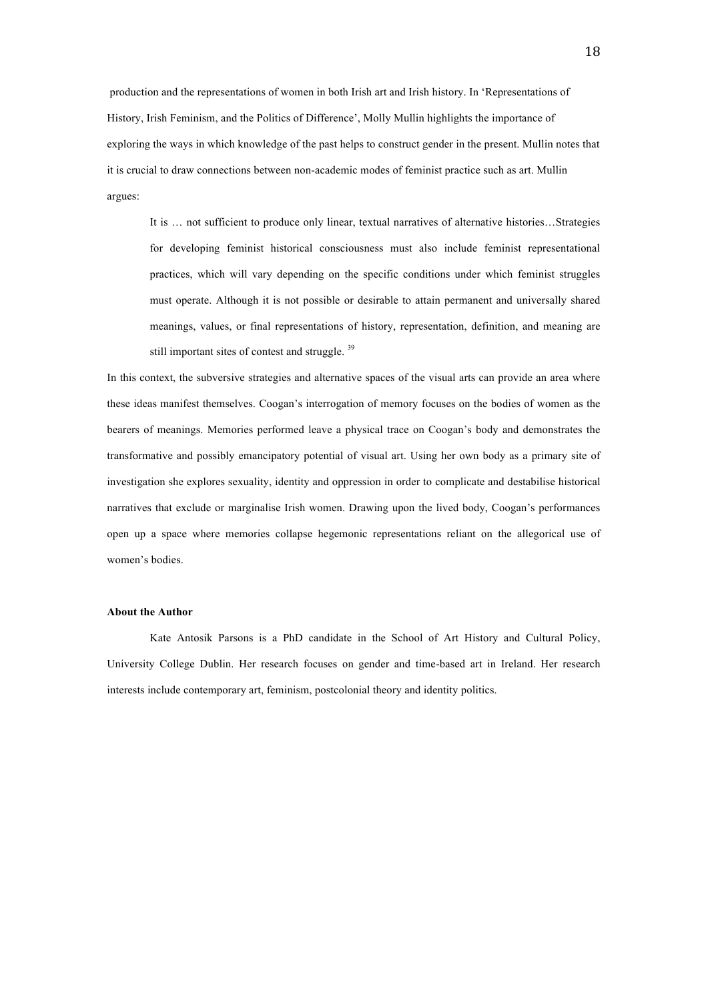production and the representations of women in both Irish art and Irish history. In 'Representations of History, Irish Feminism, and the Politics of Difference', Molly Mullin highlights the importance of exploring the ways in which knowledge of the past helps to construct gender in the present. Mullin notes that it is crucial to draw connections between non-academic modes of feminist practice such as art. Mullin argues:

It is … not sufficient to produce only linear, textual narratives of alternative histories…Strategies for developing feminist historical consciousness must also include feminist representational practices, which will vary depending on the specific conditions under which feminist struggles must operate. Although it is not possible or desirable to attain permanent and universally shared meanings, values, or final representations of history, representation, definition, and meaning are still important sites of contest and struggle.<sup>39</sup>

In this context, the subversive strategies and alternative spaces of the visual arts can provide an area where these ideas manifest themselves. Coogan's interrogation of memory focuses on the bodies of women as the bearers of meanings. Memories performed leave a physical trace on Coogan's body and demonstrates the transformative and possibly emancipatory potential of visual art. Using her own body as a primary site of investigation she explores sexuality, identity and oppression in order to complicate and destabilise historical narratives that exclude or marginalise Irish women. Drawing upon the lived body, Coogan's performances open up a space where memories collapse hegemonic representations reliant on the allegorical use of women's bodies.

## **About the Author**

Kate Antosik Parsons is a PhD candidate in the School of Art History and Cultural Policy, University College Dublin. Her research focuses on gender and time-based art in Ireland. Her research interests include contemporary art, feminism, postcolonial theory and identity politics.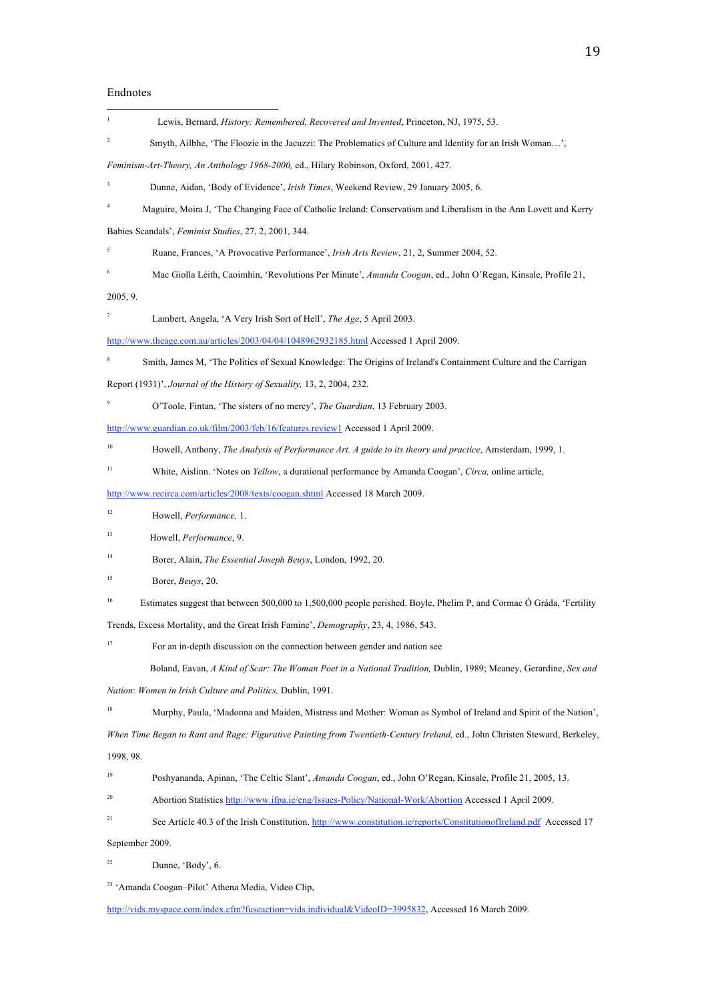# Endnotes

| 1                                                                                            | Lewis, Bernard, History: Remembered, Recovered and Invented, Princeton, NJ, 1975, 53.                                       |
|----------------------------------------------------------------------------------------------|-----------------------------------------------------------------------------------------------------------------------------|
| $\overline{c}$                                                                               | Smyth, Ailbhe, 'The Floozie in the Jacuzzi: The Problematics of Culture and Identity for an Irish Woman',                   |
|                                                                                              | Feminism-Art-Theory, An Anthology 1968-2000, ed., Hilary Robinson, Oxford, 2001, 427.                                       |
| 3                                                                                            | Dunne, Aidan, 'Body of Evidence', <i>Irish Times</i> , Weekend Review, 29 January 2005, 6.                                  |
| $\overline{4}$                                                                               | Maguire, Moira J, 'The Changing Face of Catholic Ireland: Conservatism and Liberalism in the Ann Lovett and Kerry           |
|                                                                                              | Babies Scandals', Feminist Studies, 27, 2, 2001, 344.                                                                       |
| 5                                                                                            | Ruane, Frances, 'A Provocative Performance', Irish Arts Review, 21, 2, Summer 2004, 52.                                     |
| 6                                                                                            | Mac Giolla Léith, Caoimhín, 'Revolutions Per Minute', Amanda Coogan, ed., John O'Regan, Kinsale, Profile 21,                |
| 2005, 9.                                                                                     |                                                                                                                             |
| 7                                                                                            | Lambert, Angela, 'A Very Irish Sort of Hell', <i>The Age</i> , 5 April 2003.                                                |
|                                                                                              | http://www.theage.com.au/articles/2003/04/04/1048962932185.html Accessed 1 April 2009.                                      |
| 8                                                                                            | Smith, James M, 'The Politics of Sexual Knowledge: The Origins of Ireland's Containment Culture and the Carrigan            |
|                                                                                              | Report (1931)', Journal of the History of Sexuality, 13, 2, 2004, 232.                                                      |
| 9                                                                                            | O'Toole, Fintan, 'The sisters of no mercy', The Guardian, 13 February 2003.                                                 |
| http://www.guardian.co.uk/film/2003/feb/16/features.review1 Accessed 1 April 2009.           |                                                                                                                             |
| 10                                                                                           | Howell, Anthony, The Analysis of Performance Art. A guide to its theory and practice, Amsterdam, 1999, 1.                   |
| 11                                                                                           | White, Aislinn. 'Notes on Yellow, a durational performance by Amanda Coogan', Circa, online article,                        |
|                                                                                              | http://www.recirca.com/articles/2008/texts/coogan.shtml Accessed 18 March 2009.                                             |
| 12                                                                                           | Howell, <i>Performance</i> , 1.                                                                                             |
| 13                                                                                           | Howell, Performance, 9.                                                                                                     |
| 14                                                                                           | Borer, Alain, <i>The Essential Joseph Beuys</i> , London, 1992, 20.                                                         |
| 15                                                                                           | Borer, <i>Beuys</i> , 20.                                                                                                   |
| 16                                                                                           | Estimates suggest that between 500,000 to 1,500,000 people perished. Boyle, Phelim P, and Cormac Ó Gráda, 'Fertility        |
| Trends, Excess Mortality, and the Great Irish Famine', <i>Demography</i> , 23, 4, 1986, 543. |                                                                                                                             |
| 17                                                                                           | For an in-depth discussion on the connection between gender and nation see                                                  |
|                                                                                              | Boland, Eavan, A Kind of Scar: The Woman Poet in a National Tradition, Dublin, 1989; Meaney, Gerardine, Sex and             |
|                                                                                              | Nation: Women in Irish Culture and Politics, Dublin, 1991.                                                                  |
| 18                                                                                           | Murphy, Paula, 'Madonna and Maiden, Mistress and Mother: Woman as Symbol of Ireland and Spirit of the Nation',              |
|                                                                                              | When Time Began to Rant and Rage: Figurative Painting from Twentieth-Century Ireland, ed., John Christen Steward, Berkeley, |
| 1998, 98.                                                                                    |                                                                                                                             |
| 19                                                                                           | Poshyananda, Apinan, 'The Celtic Slant', Amanda Coogan, ed., John O'Regan, Kinsale, Profile 21, 2005, 13.                   |
| 20                                                                                           | Abortion Statistics http://www.ifpa.ie/eng/Issues-Policy/National-Work/Abortion Accessed 1 April 2009.                      |
| 21                                                                                           | See Article 40.3 of the Irish Constitution. http://www.constitution.ie/reports/ConstitutionofIreland.pdf Accessed 17        |
| September 2009.                                                                              |                                                                                                                             |
| $22\,$                                                                                       | Dunne, 'Body', 6.                                                                                                           |

23 'Amanda Coogan–Pilot' Athena Media, Video Clip,

http://vids.myspace.com/index.cfm?fuseaction=vids.individual&VideoID=3995832, Accessed 16 March 2009.